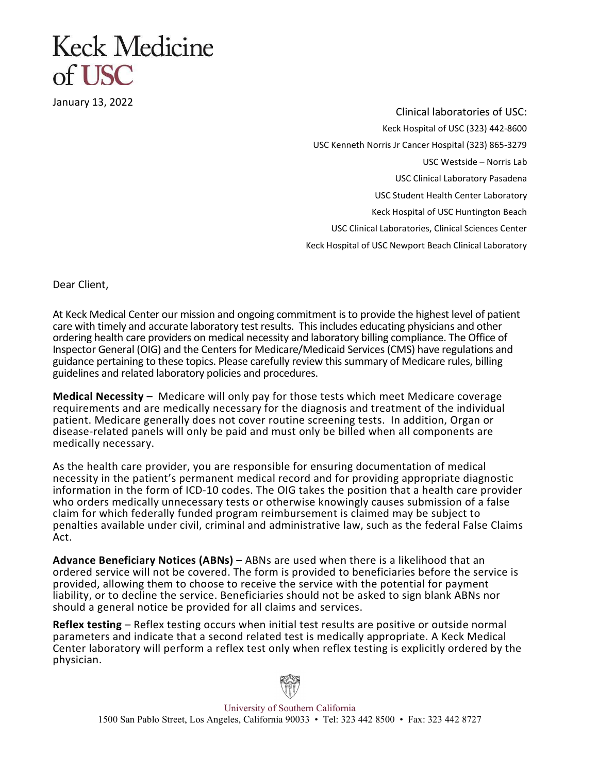## Keck Medicine  $of **ISC**$

January 13, 2022

Clinical laboratories of USC: Keck Hospital of USC (323) 442-8600 USC Kenneth Norris Jr Cancer Hospital (323) 865-3279 USC Westside – Norris Lab USC Clinical Laboratory Pasadena USC Student Health Center Laboratory Keck Hospital of USC Huntington Beach USC Clinical Laboratories, Clinical Sciences Center Keck Hospital of USC Newport Beach Clinical Laboratory

Dear Client,

At Keck Medical Center our mission and ongoing commitment is to provide the highest level of patient care with timely and accurate laboratory test results. This includes educating physicians and other ordering health care providers on medical necessity and laboratory billing compliance. The Office of Inspector General (OIG) and the Centers for Medicare/Medicaid Services (CMS) have regulations and guidance pertaining to these topics. Please carefully review this summary of Medicare rules, billing guidelines and related laboratory policies and procedures.

Medical Necessity – Medicare will only pay for those tests which meet Medicare coverage requirements and are medically necessary for the diagnosis and treatment of the individual patient. Medicare generally does not cover routine screening tests. In addition, Organ or disease-related panels will only be paid and must only be billed when all components are medically necessary.

As the health care provider, you are responsible for ensuring documentation of medical necessity in the patient's permanent medical record and for providing appropriate diagnostic information in the form of ICD-10 codes. The OIG takes the position that a health care provider who orders medically unnecessary tests or otherwise knowingly causes submission of a false claim for which federally funded program reimbursement is claimed may be subject to penalties available under civil, criminal and administrative law, such as the federal False Claims Act.

Advance Beneficiary Notices (ABNs) – ABNs are used when there is a likelihood that an ordered service will not be covered. The form is provided to beneficiaries before the service is provided, allowing them to choose to receive the service with the potential for payment liability, or to decline the service. Beneficiaries should not be asked to sign blank ABNs nor should a general notice be provided for all claims and services.

Reflex testing – Reflex testing occurs when initial test results are positive or outside normal parameters and indicate that a second related test is medically appropriate. A Keck Medical Center laboratory will perform a reflex test only when reflex testing is explicitly ordered by the physician.



University of Southern California 1500 San Pablo Street, Los Angeles, California 90033 • Tel: 323 442 8500 • Fax: 323 442 8727